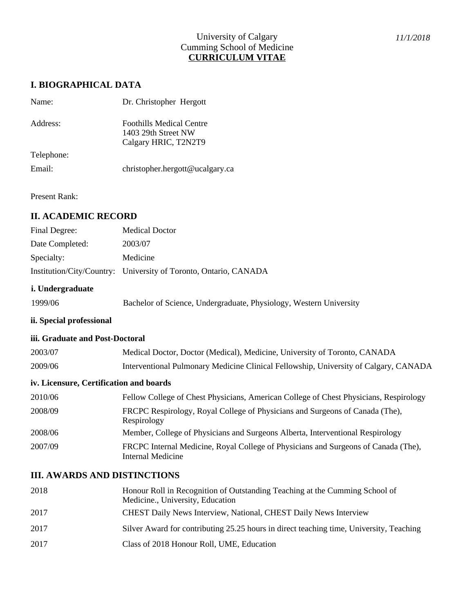## University of Calgary Cumming School of Medicine **CURRICULUM VITAE**

## **I. BIOGRAPHICAL DATA**

| Name:      | Dr. Christopher Hergott                                                        |
|------------|--------------------------------------------------------------------------------|
| Address:   | <b>Foothills Medical Centre</b><br>1403 29th Street NW<br>Calgary HRIC, T2N2T9 |
| Telephone: |                                                                                |
| Email:     | christopher.hergott@ucalgary.ca                                                |

Present Rank:

## **II. ACADEMIC RECORD**

| Final Degree:   | <b>Medical Doctor</b>                                            |
|-----------------|------------------------------------------------------------------|
| Date Completed: | 2003/07                                                          |
| Specialty:      | Medicine                                                         |
|                 | Institution/City/Country: University of Toronto, Ontario, CANADA |

### **i. Undergraduate**

| 1999/06 | Bachelor of Science, Undergraduate, Physiology, Western University |  |  |
|---------|--------------------------------------------------------------------|--|--|
|         |                                                                    |  |  |

## **ii. Special professional**

#### **iii. Graduate and Post-Doctoral**

| 2003/07 | Medical Doctor, Doctor (Medical), Medicine, University of Toronto, CANADA            |
|---------|--------------------------------------------------------------------------------------|
| 2009/06 | Interventional Pulmonary Medicine Clinical Fellowship, University of Calgary, CANADA |

### **iv. Licensure, Certification and boards**

| 2010/06 | Fellow College of Chest Physicians, American College of Chest Physicians, Respirology                   |
|---------|---------------------------------------------------------------------------------------------------------|
| 2008/09 | FRCPC Respirology, Royal College of Physicians and Surgeons of Canada (The),<br>Respirology             |
| 2008/06 | Member, College of Physicians and Surgeons Alberta, Interventional Respirology                          |
| 2007/09 | FRCPC Internal Medicine, Royal College of Physicians and Surgeons of Canada (The),<br>Internal Medicine |

## **III. AWARDS AND DISTINCTIONS**

| 2018 | Honour Roll in Recognition of Outstanding Teaching at the Cumming School of<br>Medicine., University, Education |
|------|-----------------------------------------------------------------------------------------------------------------|
| 2017 | CHEST Daily News Interview, National, CHEST Daily News Interview                                                |
| 2017 | Silver Award for contributing 25.25 hours in direct teaching time, University, Teaching                         |
| 2017 | Class of 2018 Honour Roll, UME, Education                                                                       |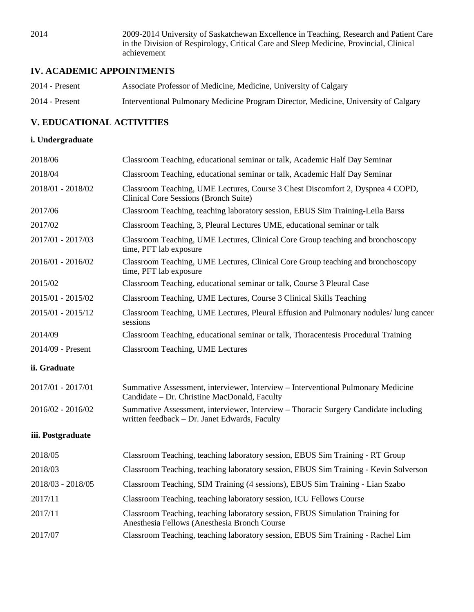2014 2009-2014 University of Saskatchewan Excellence in Teaching, Research and Patient Care in the Division of Respirology, Critical Care and Sleep Medicine, Provincial, Clinical achievement

# **IV. ACADEMIC APPOINTMENTS**

| $2014$ - Present | Associate Professor of Medicine, Medicine, University of Calgary                    |
|------------------|-------------------------------------------------------------------------------------|
| $2014$ - Present | Interventional Pulmonary Medicine Program Director, Medicine, University of Calgary |

# **V. EDUCATIONAL ACTIVITIES**

### **i. Undergraduate**

| 2018/06           | Classroom Teaching, educational seminar or talk, Academic Half Day Seminar                                                           |
|-------------------|--------------------------------------------------------------------------------------------------------------------------------------|
| 2018/04           | Classroom Teaching, educational seminar or talk, Academic Half Day Seminar                                                           |
| 2018/01 - 2018/02 | Classroom Teaching, UME Lectures, Course 3 Chest Discomfort 2, Dyspnea 4 COPD,<br><b>Clinical Core Sessions (Bronch Suite)</b>       |
| 2017/06           | Classroom Teaching, teaching laboratory session, EBUS Sim Training-Leila Barss                                                       |
| 2017/02           | Classroom Teaching, 3, Pleural Lectures UME, educational seminar or talk                                                             |
| 2017/01 - 2017/03 | Classroom Teaching, UME Lectures, Clinical Core Group teaching and bronchoscopy<br>time, PFT lab exposure                            |
| 2016/01 - 2016/02 | Classroom Teaching, UME Lectures, Clinical Core Group teaching and bronchoscopy<br>time, PFT lab exposure                            |
| 2015/02           | Classroom Teaching, educational seminar or talk, Course 3 Pleural Case                                                               |
| 2015/01 - 2015/02 | Classroom Teaching, UME Lectures, Course 3 Clinical Skills Teaching                                                                  |
| 2015/01 - 2015/12 | Classroom Teaching, UME Lectures, Pleural Effusion and Pulmonary nodules/lung cancer<br>sessions                                     |
| 2014/09           | Classroom Teaching, educational seminar or talk, Thoracentesis Procedural Training                                                   |
| 2014/09 - Present | <b>Classroom Teaching, UME Lectures</b>                                                                                              |
| ii. Graduate      |                                                                                                                                      |
| 2017/01 - 2017/01 | Summative Assessment, interviewer, Interview - Interventional Pulmonary Medicine<br>Candidate - Dr. Christine MacDonald, Faculty     |
| 2016/02 - 2016/02 | Summative Assessment, interviewer, Interview - Thoracic Surgery Candidate including<br>written feedback - Dr. Janet Edwards, Faculty |
| iii. Postgraduate |                                                                                                                                      |
| 2018/05           | Classroom Teaching, teaching laboratory session, EBUS Sim Training - RT Group                                                        |
| 2018/03           | Classroom Teaching, teaching laboratory session, EBUS Sim Training - Kevin Solverson                                                 |
| 2018/03 - 2018/05 | Classroom Teaching, SIM Training (4 sessions), EBUS Sim Training - Lian Szabo                                                        |
| 2017/11           | Classroom Teaching, teaching laboratory session, ICU Fellows Course                                                                  |
| 2017/11           | Classroom Teaching, teaching laboratory session, EBUS Simulation Training for<br>Anesthesia Fellows (Anesthesia Bronch Course        |
| 2017/07           | Classroom Teaching, teaching laboratory session, EBUS Sim Training - Rachel Lim                                                      |
|                   |                                                                                                                                      |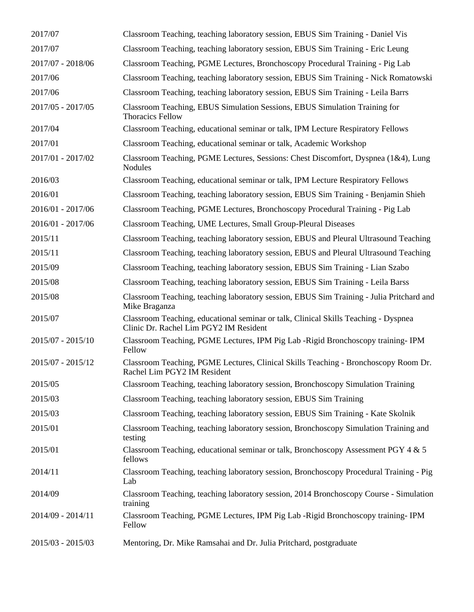| 2017/07           | Classroom Teaching, teaching laboratory session, EBUS Sim Training - Daniel Vis                                               |
|-------------------|-------------------------------------------------------------------------------------------------------------------------------|
| 2017/07           | Classroom Teaching, teaching laboratory session, EBUS Sim Training - Eric Leung                                               |
| 2017/07 - 2018/06 | Classroom Teaching, PGME Lectures, Bronchoscopy Procedural Training - Pig Lab                                                 |
| 2017/06           | Classroom Teaching, teaching laboratory session, EBUS Sim Training - Nick Romatowski                                          |
| 2017/06           | Classroom Teaching, teaching laboratory session, EBUS Sim Training - Leila Barrs                                              |
| 2017/05 - 2017/05 | Classroom Teaching, EBUS Simulation Sessions, EBUS Simulation Training for<br><b>Thoracics Fellow</b>                         |
| 2017/04           | Classroom Teaching, educational seminar or talk, IPM Lecture Respiratory Fellows                                              |
| 2017/01           | Classroom Teaching, educational seminar or talk, Academic Workshop                                                            |
| 2017/01 - 2017/02 | Classroom Teaching, PGME Lectures, Sessions: Chest Discomfort, Dyspnea $(1&4)$ , Lung<br><b>Nodules</b>                       |
| 2016/03           | Classroom Teaching, educational seminar or talk, IPM Lecture Respiratory Fellows                                              |
| 2016/01           | Classroom Teaching, teaching laboratory session, EBUS Sim Training - Benjamin Shieh                                           |
| 2016/01 - 2017/06 | Classroom Teaching, PGME Lectures, Bronchoscopy Procedural Training - Pig Lab                                                 |
| 2016/01 - 2017/06 | Classroom Teaching, UME Lectures, Small Group-Pleural Diseases                                                                |
| 2015/11           | Classroom Teaching, teaching laboratory session, EBUS and Pleural Ultrasound Teaching                                         |
| 2015/11           | Classroom Teaching, teaching laboratory session, EBUS and Pleural Ultrasound Teaching                                         |
| 2015/09           | Classroom Teaching, teaching laboratory session, EBUS Sim Training - Lian Szabo                                               |
| 2015/08           | Classroom Teaching, teaching laboratory session, EBUS Sim Training - Leila Barss                                              |
| 2015/08           | Classroom Teaching, teaching laboratory session, EBUS Sim Training - Julia Pritchard and<br>Mike Braganza                     |
| 2015/07           | Classroom Teaching, educational seminar or talk, Clinical Skills Teaching - Dyspnea<br>Clinic Dr. Rachel Lim PGY2 IM Resident |
| 2015/07 - 2015/10 | Classroom Teaching, PGME Lectures, IPM Pig Lab -Rigid Bronchoscopy training- IPM<br>Fellow                                    |
| 2015/07 - 2015/12 | Classroom Teaching, PGME Lectures, Clinical Skills Teaching - Bronchoscopy Room Dr.<br>Rachel Lim PGY2 IM Resident            |
| 2015/05           | Classroom Teaching, teaching laboratory session, Bronchoscopy Simulation Training                                             |
| 2015/03           | Classroom Teaching, teaching laboratory session, EBUS Sim Training                                                            |
| 2015/03           | Classroom Teaching, teaching laboratory session, EBUS Sim Training - Kate Skolnik                                             |
| 2015/01           | Classroom Teaching, teaching laboratory session, Bronchoscopy Simulation Training and<br>testing                              |
| 2015/01           | Classroom Teaching, educational seminar or talk, Bronchoscopy Assessment PGY 4 & 5<br>fellows                                 |
| 2014/11           | Classroom Teaching, teaching laboratory session, Bronchoscopy Procedural Training - Pig<br>Lab                                |
| 2014/09           | Classroom Teaching, teaching laboratory session, 2014 Bronchoscopy Course - Simulation<br>training                            |
| 2014/09 - 2014/11 | Classroom Teaching, PGME Lectures, IPM Pig Lab -Rigid Bronchoscopy training-IPM<br>Fellow                                     |
| 2015/03 - 2015/03 | Mentoring, Dr. Mike Ramsahai and Dr. Julia Pritchard, postgraduate                                                            |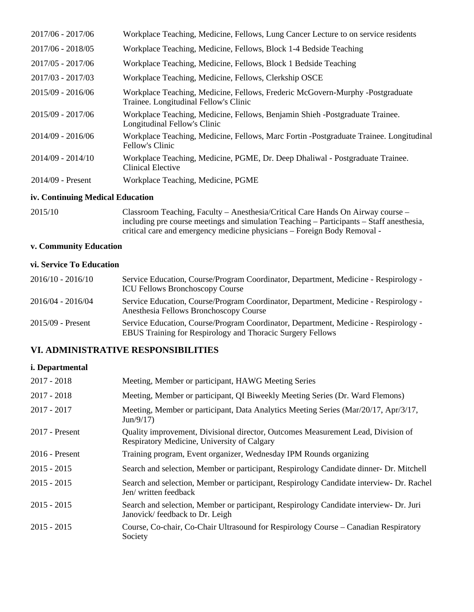| 2017/06 - 2017/06   | Workplace Teaching, Medicine, Fellows, Lung Cancer Lecture to on service residents                                     |
|---------------------|------------------------------------------------------------------------------------------------------------------------|
| 2017/06 - 2018/05   | Workplace Teaching, Medicine, Fellows, Block 1-4 Bedside Teaching                                                      |
| $2017/05 - 2017/06$ | Workplace Teaching, Medicine, Fellows, Block 1 Bedside Teaching                                                        |
| 2017/03 - 2017/03   | Workplace Teaching, Medicine, Fellows, Clerkship OSCE                                                                  |
| $2015/09 - 2016/06$ | Workplace Teaching, Medicine, Fellows, Frederic McGovern-Murphy -Postgraduate<br>Trainee. Longitudinal Fellow's Clinic |
| 2015/09 - 2017/06   | Workplace Teaching, Medicine, Fellows, Benjamin Shieh -Postgraduate Trainee.<br>Longitudinal Fellow's Clinic           |
| 2014/09 - 2016/06   | Workplace Teaching, Medicine, Fellows, Marc Fortin - Postgraduate Trainee. Longitudinal<br>Fellow's Clinic             |
| $2014/09 - 2014/10$ | Workplace Teaching, Medicine, PGME, Dr. Deep Dhaliwal - Postgraduate Trainee.<br>Clinical Elective                     |
| $2014/09$ - Present | Workplace Teaching, Medicine, PGME                                                                                     |
|                     |                                                                                                                        |

# **iv. Continuing Medical Education**

| 2015/10 | Classroom Teaching, Faculty – Anesthesia/Critical Care Hands On Airway course –          |
|---------|------------------------------------------------------------------------------------------|
|         | including pre course meetings and simulation Teaching – Participants – Staff anesthesia, |
|         | critical care and emergency medicine physicians – Foreign Body Removal -                 |

## **v. Community Education**

## **vi. Service To Education**

| $2016/10 - 2016/10$ | Service Education, Course/Program Coordinator, Department, Medicine - Respirology -<br><b>ICU Fellows Bronchoscopy Course</b>                     |
|---------------------|---------------------------------------------------------------------------------------------------------------------------------------------------|
| 2016/04 - 2016/04   | Service Education, Course/Program Coordinator, Department, Medicine - Respirology -<br>Anesthesia Fellows Bronchoscopy Course                     |
| $2015/09$ - Present | Service Education, Course/Program Coordinator, Department, Medicine - Respirology -<br>EBUS Training for Respirology and Thoracic Surgery Fellows |

# **VI. ADMINISTRATIVE RESPONSIBILITIES**

# **i. Departmental**

| $2017 - 2018$    | Meeting, Member or participant, HAWG Meeting Series                                                                             |
|------------------|---------------------------------------------------------------------------------------------------------------------------------|
| $2017 - 2018$    | Meeting, Member or participant, QI Biweekly Meeting Series (Dr. Ward Flemons)                                                   |
| $2017 - 2017$    | Meeting, Member or participant, Data Analytics Meeting Series (Mar/20/17, Apr/3/17,<br>Jun/9/17)                                |
| $2017$ - Present | Quality improvement, Divisional director, Outcomes Measurement Lead, Division of<br>Respiratory Medicine, University of Calgary |
| $2016$ - Present | Training program, Event organizer, Wednesday IPM Rounds organizing                                                              |
| $2015 - 2015$    | Search and selection, Member or participant, Respirology Candidate dinner- Dr. Mitchell                                         |
| $2015 - 2015$    | Search and selection, Member or participant, Respirology Candidate interview- Dr. Rachel<br>Jen/ written feedback               |
| $2015 - 2015$    | Search and selection, Member or participant, Respirology Candidate interview- Dr. Juri<br>Janovick/feedback to Dr. Leigh        |
| $2015 - 2015$    | Course, Co-chair, Co-Chair Ultrasound for Respirology Course – Canadian Respiratory<br>Society                                  |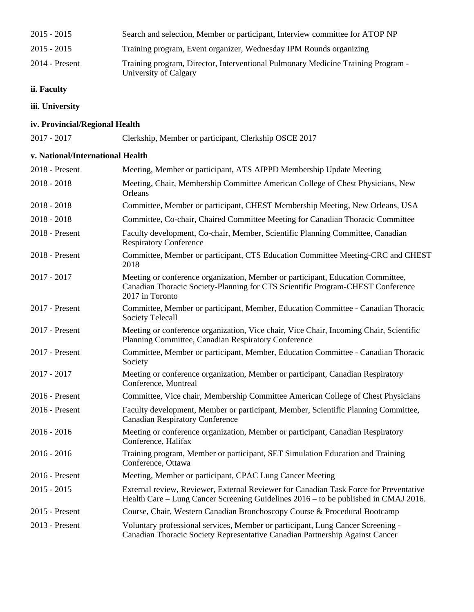| $2015 - 2015$    | Search and selection, Member or participant, Interview committee for ATOP NP                              |
|------------------|-----------------------------------------------------------------------------------------------------------|
| $2015 - 2015$    | Training program, Event organizer, Wednesday IPM Rounds organizing                                        |
| $2014$ - Present | Training program, Director, Interventional Pulmonary Medicine Training Program -<br>University of Calgary |

## **ii. Faculty**

**iii. University**

## **iv. Provincial/Regional Health**

2017 - 2017 Clerkship, Member or participant, Clerkship OSCE 2017

# **v. National/International Health**

| 2018 - Present   | Meeting, Member or participant, ATS AIPPD Membership Update Meeting                                                                                                                  |
|------------------|--------------------------------------------------------------------------------------------------------------------------------------------------------------------------------------|
| $2018 - 2018$    | Meeting, Chair, Membership Committee American College of Chest Physicians, New<br>Orleans                                                                                            |
| $2018 - 2018$    | Committee, Member or participant, CHEST Membership Meeting, New Orleans, USA                                                                                                         |
| $2018 - 2018$    | Committee, Co-chair, Chaired Committee Meeting for Canadian Thoracic Committee                                                                                                       |
| 2018 - Present   | Faculty development, Co-chair, Member, Scientific Planning Committee, Canadian<br><b>Respiratory Conference</b>                                                                      |
| 2018 - Present   | Committee, Member or participant, CTS Education Committee Meeting-CRC and CHEST<br>2018                                                                                              |
| $2017 - 2017$    | Meeting or conference organization, Member or participant, Education Committee,<br>Canadian Thoracic Society-Planning for CTS Scientific Program-CHEST Conference<br>2017 in Toronto |
| 2017 - Present   | Committee, Member or participant, Member, Education Committee - Canadian Thoracic<br><b>Society Telecall</b>                                                                         |
| 2017 - Present   | Meeting or conference organization, Vice chair, Vice Chair, Incoming Chair, Scientific<br>Planning Committee, Canadian Respiratory Conference                                        |
| 2017 - Present   | Committee, Member or participant, Member, Education Committee - Canadian Thoracic<br>Society                                                                                         |
| $2017 - 2017$    | Meeting or conference organization, Member or participant, Canadian Respiratory<br>Conference, Montreal                                                                              |
| 2016 - Present   | Committee, Vice chair, Membership Committee American College of Chest Physicians                                                                                                     |
| 2016 - Present   | Faculty development, Member or participant, Member, Scientific Planning Committee,<br><b>Canadian Respiratory Conference</b>                                                         |
| $2016 - 2016$    | Meeting or conference organization, Member or participant, Canadian Respiratory<br>Conference, Halifax                                                                               |
| $2016 - 2016$    | Training program, Member or participant, SET Simulation Education and Training<br>Conference, Ottawa                                                                                 |
| 2016 - Present   | Meeting, Member or participant, CPAC Lung Cancer Meeting                                                                                                                             |
| $2015 - 2015$    | External review, Reviewer, External Reviewer for Canadian Task Force for Preventative<br>Health Care – Lung Cancer Screening Guidelines 2016 – to be published in CMAJ 2016.         |
| $2015$ - Present | Course, Chair, Western Canadian Bronchoscopy Course & Procedural Bootcamp                                                                                                            |
| 2013 - Present   | Voluntary professional services, Member or participant, Lung Cancer Screening -<br>Canadian Thoracic Society Representative Canadian Partnership Against Cancer                      |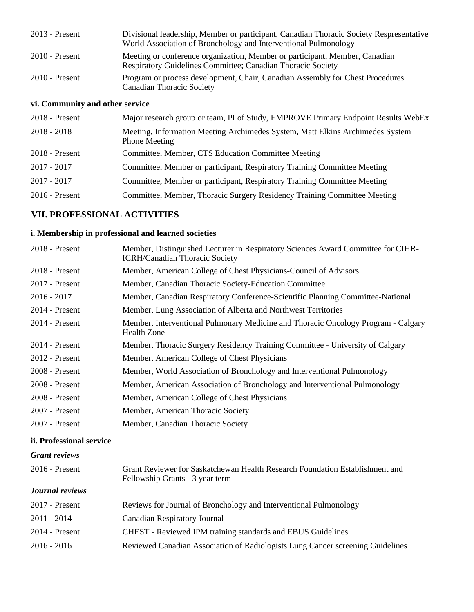| $2013$ - Present | Divisional leadership, Member or participant, Canadian Thoracic Society Respresentative<br>World Association of Bronchology and Interventional Pulmonology |
|------------------|------------------------------------------------------------------------------------------------------------------------------------------------------------|
| $2010$ - Present | Meeting or conference organization, Member or participant, Member, Canadian<br><b>Respiratory Guidelines Committee; Canadian Thoracic Society</b>          |
| $2010$ - Present | Program or process development, Chair, Canadian Assembly for Chest Procedures<br><b>Canadian Thoracic Society</b>                                          |

# **vi. Community and other service**

| $2018$ - Present | Major research group or team, PI of Study, EMPROVE Primary Endpoint Results WebEx                     |
|------------------|-------------------------------------------------------------------------------------------------------|
| $2018 - 2018$    | Meeting, Information Meeting Archimedes System, Matt Elkins Archimedes System<br><b>Phone Meeting</b> |
| 2018 - Present   | Committee, Member, CTS Education Committee Meeting                                                    |
| $2017 - 2017$    | Committee, Member or participant, Respiratory Training Committee Meeting                              |
| $2017 - 2017$    | Committee, Member or participant, Respiratory Training Committee Meeting                              |
| $2016$ - Present | Committee, Member, Thoracic Surgery Residency Training Committee Meeting                              |

# **VII. PROFESSIONAL ACTIVITIES**

## **i. Membership in professional and learned societies**

| 2018 - Present           | Member, Distinguished Lecturer in Respiratory Sciences Award Committee for CIHR-<br><b>ICRH/Canadian Thoracic Society</b> |
|--------------------------|---------------------------------------------------------------------------------------------------------------------------|
| 2018 - Present           | Member, American College of Chest Physicians-Council of Advisors                                                          |
| $2017$ - Present         | Member, Canadian Thoracic Society-Education Committee                                                                     |
| $2016 - 2017$            | Member, Canadian Respiratory Conference-Scientific Planning Committee-National                                            |
| 2014 - Present           | Member, Lung Association of Alberta and Northwest Territories                                                             |
| 2014 - Present           | Member, Interventional Pulmonary Medicine and Thoracic Oncology Program - Calgary<br><b>Health Zone</b>                   |
| 2014 - Present           | Member, Thoracic Surgery Residency Training Committee - University of Calgary                                             |
| 2012 - Present           | Member, American College of Chest Physicians                                                                              |
| 2008 - Present           | Member, World Association of Bronchology and Interventional Pulmonology                                                   |
| 2008 - Present           | Member, American Association of Bronchology and Interventional Pulmonology                                                |
| 2008 - Present           | Member, American College of Chest Physicians                                                                              |
| 2007 - Present           | Member, American Thoracic Society                                                                                         |
| 2007 - Present           | Member, Canadian Thoracic Society                                                                                         |
| ii. Professional service |                                                                                                                           |
| <b>Grant reviews</b>     |                                                                                                                           |
| 2016 - Present           | Grant Reviewer for Saskatchewan Health Research Foundation Establishment and<br>Fellowship Grants - 3 year term           |
| <b>Journal reviews</b>   |                                                                                                                           |
| 2017 - Present           | Reviews for Journal of Bronchology and Interventional Pulmonology                                                         |
| $2011 - 2014$            | <b>Canadian Respiratory Journal</b>                                                                                       |
| 2014 - Present           | CHEST - Reviewed IPM training standards and EBUS Guidelines                                                               |

2016 - 2016 Reviewed Canadian Association of Radiologists Lung Cancer screening Guidelines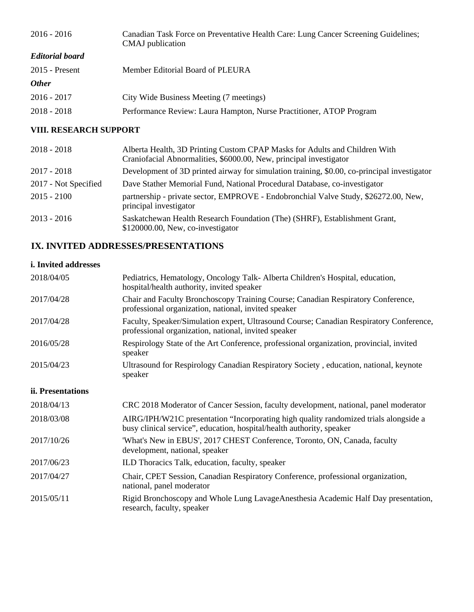| Canadian Task Force on Preventative Health Care: Lung Cancer Screening Guidelines;<br>CMAJ publication |
|--------------------------------------------------------------------------------------------------------|
|                                                                                                        |
| Member Editorial Board of PLEURA                                                                       |
|                                                                                                        |
| City Wide Business Meeting (7 meetings)                                                                |
| Performance Review: Laura Hampton, Nurse Practitioner, ATOP Program                                    |
|                                                                                                        |

# **VIII. RESEARCH SUPPORT**

| $2018 - 2018$        | Alberta Health, 3D Printing Custom CPAP Masks for Adults and Children With<br>Craniofacial Abnormalities, \$6000.00, New, principal investigator |
|----------------------|--------------------------------------------------------------------------------------------------------------------------------------------------|
| $2017 - 2018$        | Development of 3D printed airway for simulation training, \$0.00, co-principal investigator                                                      |
| 2017 - Not Specified | Dave Stather Memorial Fund, National Procedural Database, co-investigator                                                                        |
| $2015 - 2100$        | partnership - private sector, EMPROVE - Endobronchial Valve Study, \$26272.00, New,<br>principal investigator                                    |
| $2013 - 2016$        | Saskatchewan Health Research Foundation (The) (SHRF), Establishment Grant,<br>\$120000.00, New, co-investigator                                  |

# **IX. INVITED ADDRESSES/PRESENTATIONS**

## **i. Invited addresses**

| 2018/04/05        | Pediatrics, Hematology, Oncology Talk-Alberta Children's Hospital, education,<br>hospital/health authority, invited speaker                                   |
|-------------------|---------------------------------------------------------------------------------------------------------------------------------------------------------------|
| 2017/04/28        | Chair and Faculty Bronchoscopy Training Course; Canadian Respiratory Conference,<br>professional organization, national, invited speaker                      |
| 2017/04/28        | Faculty, Speaker/Simulation expert, Ultrasound Course; Canadian Respiratory Conference,<br>professional organization, national, invited speaker               |
| 2016/05/28        | Respirology State of the Art Conference, professional organization, provincial, invited<br>speaker                                                            |
| 2015/04/23        | Ultrasound for Respirology Canadian Respiratory Society, education, national, keynote<br>speaker                                                              |
| ii. Presentations |                                                                                                                                                               |
| 2018/04/13        | CRC 2018 Moderator of Cancer Session, faculty development, national, panel moderator                                                                          |
| 2018/03/08        | AIRG/IPH/W21C presentation "Incorporating high quality randomized trials alongside a<br>busy clinical service", education, hospital/health authority, speaker |
| 2017/10/26        | 'What's New in EBUS', 2017 CHEST Conference, Toronto, ON, Canada, faculty<br>development, national, speaker                                                   |
| 2017/06/23        | ILD Thoracics Talk, education, faculty, speaker                                                                                                               |
| 2017/04/27        | Chair, CPET Session, Canadian Respiratory Conference, professional organization,<br>national, panel moderator                                                 |
| 2015/05/11        | Rigid Bronchoscopy and Whole Lung LavageAnesthesia Academic Half Day presentation,<br>research, faculty, speaker                                              |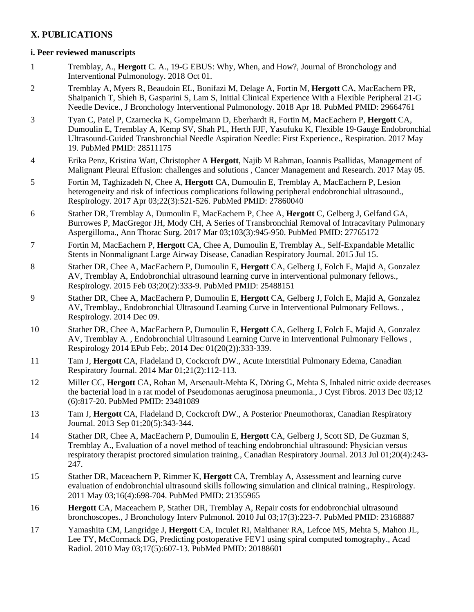# **X. PUBLICATIONS**

### **i. Peer reviewed manuscripts**

- 1 Tremblay, A., **Hergott** C. A., 19-G EBUS: Why, When, and How?, Journal of Bronchology and Interventional Pulmonology. 2018 Oct 01.
- 2 Tremblay A, Myers R, Beaudoin EL, Bonifazi M, Delage A, Fortin M, **Hergott** CA, MacEachern PR, Shaipanich T, Shieh B, Gasparini S, Lam S, Initial Clinical Experience With a Flexible Peripheral 21-G Needle Device., J Bronchology Interventional Pulmonology. 2018 Apr 18. PubMed PMID: 29664761
- 3 Tyan C, Patel P, Czarnecka K, Gompelmann D, Eberhardt R, Fortin M, MacEachern P, **Hergott** CA, Dumoulin E, Tremblay A, Kemp SV, Shah PL, Herth FJF, Yasufuku K, Flexible 19-Gauge Endobronchial Ultrasound-Guided Transbronchial Needle Aspiration Needle: First Experience., Respiration. 2017 May 19. PubMed PMID: 28511175
- 4 Erika Penz, Kristina Watt, Christopher A **Hergott**, Najib M Rahman, Ioannis Psallidas, Management of Malignant Pleural Effusion: challenges and solutions , Cancer Management and Research. 2017 May 05.
- 5 Fortin M, Taghizadeh N, Chee A, **Hergott** CA, Dumoulin E, Tremblay A, MacEachern P, Lesion heterogeneity and risk of infectious complications following peripheral endobronchial ultrasound., Respirology. 2017 Apr 03;22(3):521-526. PubMed PMID: 27860040
- 6 Stather DR, Tremblay A, Dumoulin E, MacEachern P, Chee A, **Hergott** C, Gelberg J, Gelfand GA, Burrowes P, MacGregor JH, Mody CH, A Series of Transbronchial Removal of Intracavitary Pulmonary Aspergilloma., Ann Thorac Surg. 2017 Mar 03;103(3):945-950. PubMed PMID: 27765172
- 7 Fortin M, MacEachern P, **Hergott** CA, Chee A, Dumoulin E, Tremblay A., Self-Expandable Metallic Stents in Nonmalignant Large Airway Disease, Canadian Respiratory Journal. 2015 Jul 15.
- 8 Stather DR, Chee A, MacEachern P, Dumoulin E, **Hergott** CA, Gelberg J, Folch E, Majid A, Gonzalez AV, Tremblay A, Endobronchial ultrasound learning curve in interventional pulmonary fellows., Respirology. 2015 Feb 03;20(2):333-9. PubMed PMID: 25488151
- 9 Stather DR, Chee A, MacEachern P, Dumoulin E, **Hergott** CA, Gelberg J, Folch E, Majid A, Gonzalez AV, Tremblay., Endobronchial Ultrasound Learning Curve in Interventional Pulmonary Fellows. , Respirology. 2014 Dec 09.
- 10 Stather DR, Chee A, MacEachern P, Dumoulin E, **Hergott** CA, Gelberg J, Folch E, Majid A, Gonzalez AV, Tremblay A. , Endobronchial Ultrasound Learning Curve in Interventional Pulmonary Fellows , Respirology 2014 EPub Feb;. 2014 Dec 01(20(2)):333-339.
- 11 Tam J, **Hergott** CA, Fladeland D, Cockcroft DW., Acute Interstitial Pulmonary Edema, Canadian Respiratory Journal. 2014 Mar 01;21(2):112-113.
- 12 Miller CC, **Hergott** CA, Rohan M, Arsenault-Mehta K, Döring G, Mehta S, Inhaled nitric oxide decreases the bacterial load in a rat model of Pseudomonas aeruginosa pneumonia., J Cyst Fibros. 2013 Dec 03;12 (6):817-20. PubMed PMID: 23481089
- 13 Tam J, **Hergott** CA, Fladeland D, Cockcroft DW., A Posterior Pneumothorax, Canadian Respiratory Journal. 2013 Sep 01;20(5):343-344.
- 14 Stather DR, Chee A, MacEachern P, Dumoulin E, **Hergott** CA, Gelberg J, Scott SD, De Guzman S, Tremblay A., Evaluation of a novel method of teaching endobronchial ultrasound: Physician versus respiratory therapist proctored simulation training., Canadian Respiratory Journal. 2013 Jul 01;20(4):243- 247.
- 15 Stather DR, Maceachern P, Rimmer K, **Hergott** CA, Tremblay A, Assessment and learning curve evaluation of endobronchial ultrasound skills following simulation and clinical training., Respirology. 2011 May 03;16(4):698-704. PubMed PMID: 21355965
- 16 **Hergott** CA, Maceachern P, Stather DR, Tremblay A, Repair costs for endobronchial ultrasound bronchoscopes., J Bronchology Interv Pulmonol. 2010 Jul 03;17(3):223-7. PubMed PMID: 23168887
- 17 Yamashita CM, Langridge J, **Hergott** CA, Inculet RI, Malthaner RA, Lefcoe MS, Mehta S, Mahon JL, Lee TY, McCormack DG, Predicting postoperative FEV1 using spiral computed tomography., Acad Radiol. 2010 May 03;17(5):607-13. PubMed PMID: 20188601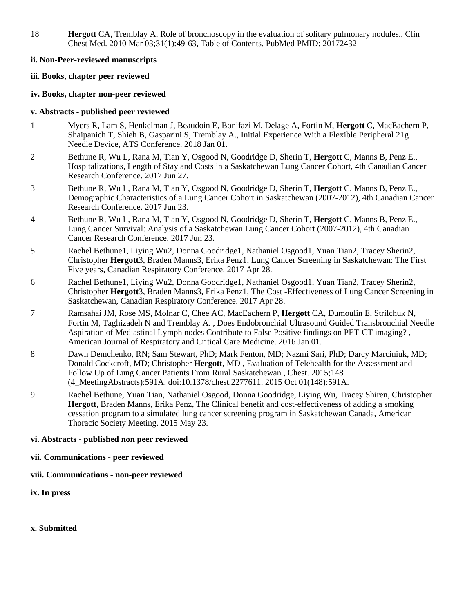18 **Hergott** CA, Tremblay A, Role of bronchoscopy in the evaluation of solitary pulmonary nodules., Clin Chest Med. 2010 Mar 03;31(1):49-63, Table of Contents. PubMed PMID: 20172432

#### **ii. Non-Peer-reviewed manuscripts**

### **iii. Books, chapter peer reviewed**

#### **iv. Books, chapter non-peer reviewed**

#### **v. Abstracts - published peer reviewed**

- 1 Myers R, Lam S, Henkelman J, Beaudoin E, Bonifazi M, Delage A, Fortin M, **Hergott** C, MacEachern P, Shaipanich T, Shieh B, Gasparini S, Tremblay A., Initial Experience With a Flexible Peripheral 21g Needle Device, ATS Conference. 2018 Jan 01.
- 2 Bethune R, Wu L, Rana M, Tian Y, Osgood N, Goodridge D, Sherin T, **Hergott** C, Manns B, Penz E., Hospitalizations, Length of Stay and Costs in a Saskatchewan Lung Cancer Cohort, 4th Canadian Cancer Research Conference. 2017 Jun 27.
- 3 Bethune R, Wu L, Rana M, Tian Y, Osgood N, Goodridge D, Sherin T, **Hergott** C, Manns B, Penz E., Demographic Characteristics of a Lung Cancer Cohort in Saskatchewan (2007-2012), 4th Canadian Cancer Research Conference. 2017 Jun 23.
- 4 Bethune R, Wu L, Rana M, Tian Y, Osgood N, Goodridge D, Sherin T, **Hergott** C, Manns B, Penz E., Lung Cancer Survival: Analysis of a Saskatchewan Lung Cancer Cohort (2007-2012), 4th Canadian Cancer Research Conference. 2017 Jun 23.
- 5 Rachel Bethune1, Liying Wu2, Donna Goodridge1, Nathaniel Osgood1, Yuan Tian2, Tracey Sherin2, Christopher **Hergott**3, Braden Manns3, Erika Penz1, Lung Cancer Screening in Saskatchewan: The First Five years, Canadian Respiratory Conference. 2017 Apr 28.
- 6 Rachel Bethune1, Liying Wu2, Donna Goodridge1, Nathaniel Osgood1, Yuan Tian2, Tracey Sherin2, Christopher **Hergott**3, Braden Manns3, Erika Penz1, The Cost -Effectiveness of Lung Cancer Screening in Saskatchewan, Canadian Respiratory Conference. 2017 Apr 28.
- 7 Ramsahai JM, Rose MS, Molnar C, Chee AC, MacEachern P, **Hergott** CA, Dumoulin E, Strilchuk N, Fortin M, Taghizadeh N and Tremblay A. , Does Endobronchial Ultrasound Guided Transbronchial Needle Aspiration of Mediastinal Lymph nodes Contribute to False Positive findings on PET-CT imaging? , American Journal of Respiratory and Critical Care Medicine. 2016 Jan 01.
- 8 Dawn Demchenko, RN; Sam Stewart, PhD; Mark Fenton, MD; Nazmi Sari, PhD; Darcy Marciniuk, MD; Donald Cockcroft, MD; Christopher **Hergott**, MD , Evaluation of Telehealth for the Assessment and Follow Up of Lung Cancer Patients From Rural Saskatchewan , Chest. 2015;148 (4\_MeetingAbstracts):591A. doi:10.1378/chest.2277611. 2015 Oct 01(148):591A.
- 9 Rachel Bethune, Yuan Tian, Nathaniel Osgood, Donna Goodridge, Liying Wu, Tracey Shiren, Christopher **Hergott**, Braden Manns, Erika Penz, The Clinical benefit and cost-effectiveness of adding a smoking cessation program to a simulated lung cancer screening program in Saskatchewan Canada, American Thoracic Society Meeting. 2015 May 23.

### **vi. Abstracts - published non peer reviewed**

- **vii. Communications peer reviewed**
- **viii. Communications non-peer reviewed**
- **ix. In press**
- **x. Submitted**